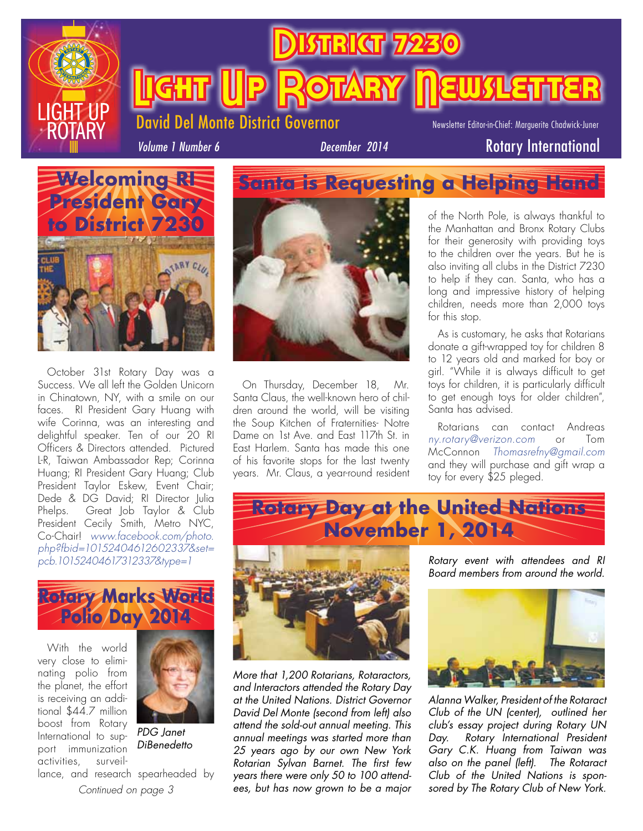

**BSTRICT 72** 

David Del Monte District Governor

Newsletter Editor-in-Chief: Marguerite Chadwick-Juner

ROTARY NEWSLETTER

*Volume 1 Number 6*

### **December 2014** Rotary International



October 31st Rotary Day was a Success. We all left the Golden Unicorn in Chinatown, NY, with a smile on our faces. RI President Gary Huang with wife Corinna, was an interesting and delightful speaker. Ten of our 20 RI Officers & Directors attended. Pictured L-R, Taiwan Ambassador Rep; Corinna Huang; RI President Gary Huang; Club President Taylor Eskew, Event Chair; Dede & DG David; RI Director Julia Phelps. Great Job Taylor & Club President Cecily Smith, Metro NYC, Co-Chair! *www.facebook.com/photo. php?fbid=10152404612602337&set= pcb.10152404617312337&type=1* 

### **Rotary Marks World Polio Day 2014**

With the world very close to eliminating polio from the planet, the effort is receiving an additional \$44.7 million boost from Rotary International to support immunization activities, surveil-



*PDG Janet DiBenedetto*

*Continued on page 3* lance, and research spearheaded by



On Thursday, December 18, Mr. Santa Claus, the well-known hero of children around the world, will be visiting the Soup Kitchen of Fraternities- Notre Dame on 1st Ave. and East 117th St. in East Harlem. Santa has made this one of his favorite stops for the last twenty years. Mr. Claus, a year-round resident

*More that 1,200 Rotarians, Rotaractors, and Interactors attended the Rotary Day at the United Nations. District Governor David Del Monte (second from left) also attend the sold-out annual meeting. This annual meetings was started more than 25 years ago by our own New York Rotarian Sylvan Barnet. The first few years there were only 50 to 100 attendees, but has now grown to be a major*  of the North Pole, is always thankful to the Manhattan and Bronx Rotary Clubs for their generosity with providing toys to the children over the years. But he is also inviting all clubs in the District 7230 to help if they can. Santa, who has a long and impressive history of helping children, needs more than 2,000 toys for this stop.

As is customary, he asks that Rotarians donate a gift-wrapped toy for children 8 to 12 years old and marked for boy or girl. "While it is always difficult to get toys for children, it is particularly difficult to get enough toys for older children", Santa has advised.

Rotarians can contact Andreas *ny.rotary@verizon.com* or Tom McConnon *Thomasrefny@gmail.com*  and they will purchase and gift wrap a toy for every \$25 pleged.







*Alanna Walker, President of the Rotaract Club of the UN (center), outlined her club's essay project during Rotary UN Day. Rotary International President Gary C.K. Huang from Taiwan was also on the panel (left). The Rotaract Club of the United Nations is sponsored by The Rotary Club of New York.*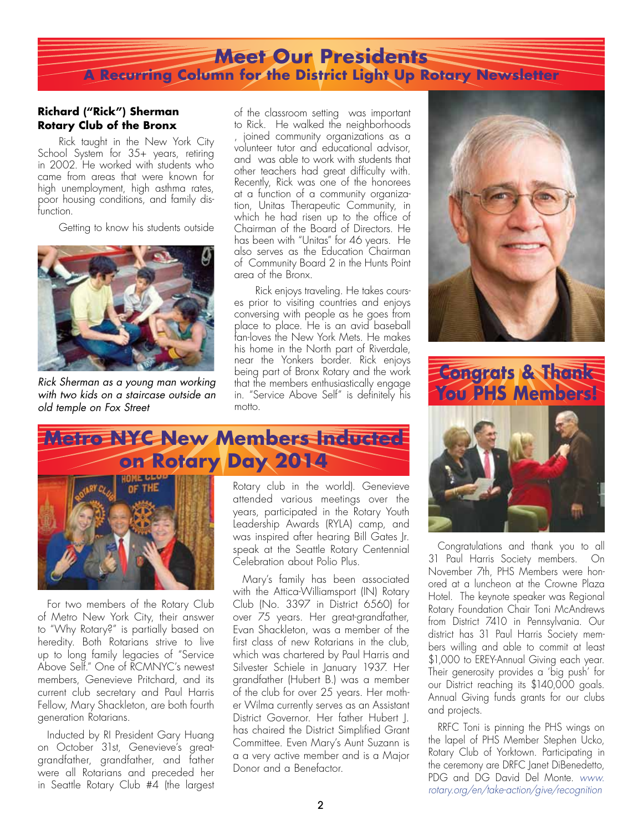### **Meet Our Presidents A Recurring Column for the District Light Up Rotary Newsletter**

#### **Richard ("Rick") Sherman Rotary Club of the Bronx**

Rick taught in the New York City School System for 35+ years, retiring in 2002. He worked with students who came from areas that were known for high unemployment, high asthma rates, poor housing conditions, and family disfunction.

Getting to know his students outside



*Rick Sherman as a young man working with two kids on a staircase outside an old temple on Fox Street*

of the classroom setting was important to Rick. He walked the neighborhoods

joined community organizations as a volunteer tutor and educational advisor, and was able to work with students that other teachers had great difficulty with. Recently, Rick was one of the honorees at a function of a community organization, Unitas Therapeutic Community, in which he had risen up to the office of Chairman of the Board of Directors. He has been with "Unitas" for 46 years. He also serves as the Education Chairman of Community Board 2 in the Hunts Point area of the Bronx.

Rick enjoys traveling. He takes courses prior to visiting countries and enjoys conversing with people as he goes from place to place. He is an avid baseball fan-loves the New York Mets. He makes his home in the North part of Riverdale, near the Yonkers border. Rick enjoys being part of Bronx Rotary and the work that the members enthusiastically engage in. "Service Above Self" is definitely his motto.





Congratulations and thank you to all 31 Paul Harris Society members. On November 7th, PHS Members were honored at a luncheon at the Crowne Plaza Hotel. The keynote speaker was Regional Rotary Foundation Chair Toni McAndrews from District 7410 in Pennsylvania. Our district has 31 Paul Harris Society members willing and able to commit at least \$1,000 to EREY-Annual Giving each year. Their generosity provides a 'big push' for our District reaching its \$140,000 goals. Annual Giving funds grants for our clubs and projects.

RRFC Toni is pinning the PHS wings on the lapel of PHS Member Stephen Ucko, Rotary Club of Yorktown. Participating in the ceremony are DRFC Janet DiBenedetto, PDG and DG David Del Monte. *www. rotary.org/en/take-action/give/recognition*

## **Metro NYC New Members Inducted on Rotary Day 2014**



For two members of the Rotary Club of Metro New York City, their answer to "Why Rotary?" is partially based on heredity. Both Rotarians strive to live up to long family legacies of "Service Above Self." One of RCMNYC's newest members, Genevieve Pritchard, and its current club secretary and Paul Harris Fellow, Mary Shackleton, are both fourth generation Rotarians.

Inducted by RI President Gary Huang on October 31st, Genevieve's greatgrandfather, grandfather, and father were all Rotarians and preceded her in Seattle Rotary Club #4 (the largest Rotary club in the world). Genevieve attended various meetings over the years, participated in the Rotary Youth Leadership Awards (RYLA) camp, and was inspired after hearing Bill Gates Jr. speak at the Seattle Rotary Centennial Celebration about Polio Plus.

Mary's family has been associated with the Attica-Williamsport (IN) Rotary Club (No. 3397 in District 6560) for over 75 years. Her great-grandfather, Evan Shackleton, was a member of the first class of new Rotarians in the club, which was chartered by Paul Harris and Silvester Schiele in January 1937. Her grandfather (Hubert B.) was a member of the club for over 25 years. Her mother Wilma currently serves as an Assistant District Governor. Her father Hubert J. has chaired the District Simplified Grant Committee. Even Mary's Aunt Suzann is a a very active member and is a Major Donor and a Benefactor.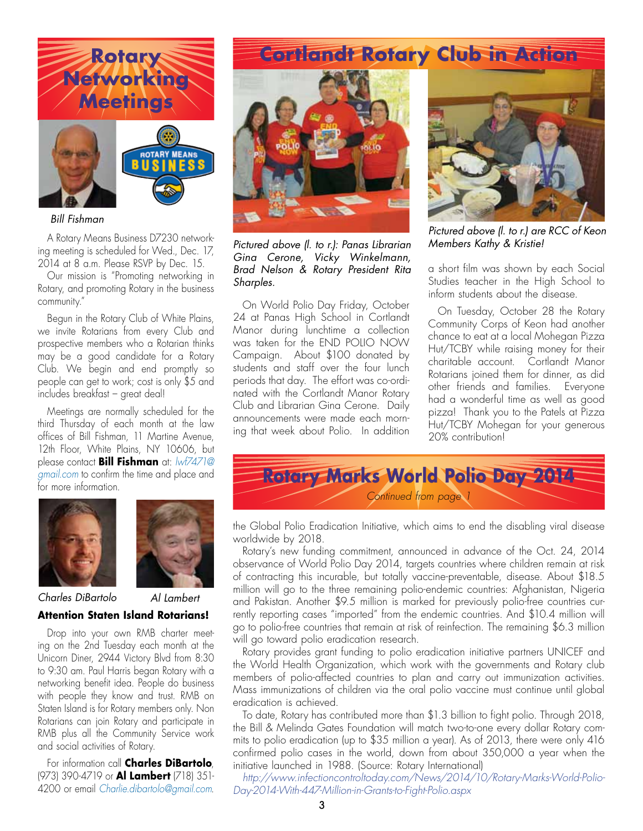

#### *Bill Fishman*

A Rotary Means Business D7230 networking meeting is scheduled for Wed., Dec. 17, 2014 at 8 a.m. Please RSVP by Dec. 15.

Our mission is "Promoting networking in Rotary, and promoting Rotary in the business community."

Begun in the Rotary Club of White Plains, we invite Rotarians from every Club and prospective members who a Rotarian thinks may be a good candidate for a Rotary Club. We begin and end promptly so people can get to work; cost is only \$5 and includes breakfast – great deal!

Meetings are normally scheduled for the third Thursday of each month at the law offices of Bill Fishman, 11 Martine Avenue, 12th Floor, White Plains, NY 10606, but please contact **Bill Fishman** at: *lwf7471@ gmail.com* to confirm the time and place and for more information.





*Charles DiBartolo Al Lambert*

### **Attention Staten Island Rotarians!**

Drop into your own RMB charter meeting on the 2nd Tuesday each month at the Unicorn Diner, 2944 Victory Blvd from 8:30 to 9:30 am. Paul Harris began Rotary with a networking benefit idea. People do business with people they know and trust. RMB on Staten Island is for Rotary members only. Non Rotarians can join Rotary and participate in RMB plus all the Community Service work and social activities of Rotary.

For information call **Charles DiBartolo**, (973) 390-4719 or **Al Lambert** (718) 351- 4200 or email *Charlie.dibartolo@gmail.com*.



*Pictured above (l. to r.): Panas Librarian Gina Cerone, Vicky Winkelmann, Brad Nelson & Rotary President Rita Sharples.*

On World Polio Day Friday, October 24 at Panas High School in Cortlandt Manor during lunchtime a collection was taken for the END POLIO NOW Campaign. About \$100 donated by students and staff over the four lunch periods that day. The effort was co-ordinated with the Cortlandt Manor Rotary Club and Librarian Gina Cerone. Daily announcements were made each morning that week about Polio. In addition



*Pictured above (l. to r.) are RCC of Keon Members Kathy & Kristie!*

a short film was shown by each Social Studies teacher in the High School to inform students about the disease.

On Tuesday, October 28 the Rotary Community Corps of Keon had another chance to eat at a local Mohegan Pizza Hut/TCBY while raising money for their charitable account. Cortlandt Manor Rotarians joined them for dinner, as did other friends and families. Everyone had a wonderful time as well as good pizza! Thank you to the Patels at Pizza Hut/TCBY Mohegan for your generous 20% contribution!



the Global Polio Eradication Initiative, which aims to end the disabling viral disease worldwide by 2018.

Rotary's new funding commitment, announced in advance of the Oct. 24, 2014 observance of World Polio Day 2014, targets countries where children remain at risk of contracting this incurable, but totally vaccine-preventable, disease. About \$18.5 million will go to the three remaining polio-endemic countries: Afghanistan, Nigeria and Pakistan. Another \$9.5 million is marked for previously polio-free countries currently reporting cases "imported" from the endemic countries. And \$10.4 million will go to polio-free countries that remain at risk of reinfection. The remaining \$6.3 million will go toward polio eradication research.

Rotary provides grant funding to polio eradication initiative partners UNICEF and the World Health Organization, which work with the governments and Rotary club members of polio-affected countries to plan and carry out immunization activities. Mass immunizations of children via the oral polio vaccine must continue until global eradication is achieved.

To date, Rotary has contributed more than \$1.3 billion to fight polio. Through 2018, the Bill & Melinda Gates Foundation will match two-to-one every dollar Rotary commits to polio eradication (up to \$35 million a year). As of 2013, there were only 416 confirmed polio cases in the world, down from about 350,000 a year when the initiative launched in 1988. (Source: Rotary International)

*http://www.infectioncontroltoday.com/News/2014/10/Rotary-Marks-World-Polio-Day-2014-With-447-Million-in-Grants-to-Fight-Polio.aspx*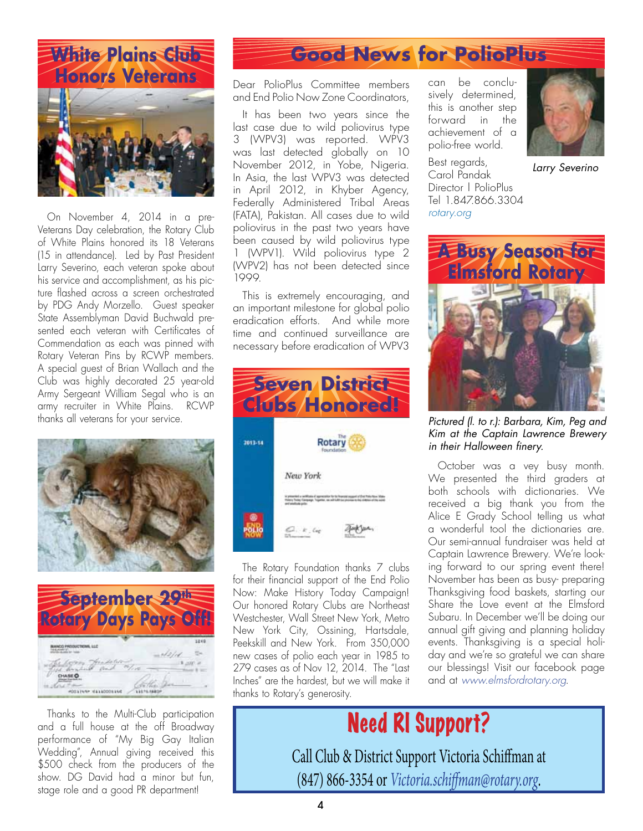White Plains Club **Honors Veterans**



On November 4, 2014 in a pre-Veterans Day celebration, the Rotary Club of White Plains honored its 18 Veterans (15 in attendance). Led by Past President Larry Severino, each veteran spoke about his service and accomplishment, as his picture flashed across a screen orchestrated by PDG Andy Morzello. Guest speaker State Assemblyman David Buchwald presented each veteran with Certificates of Commendation as each was pinned with Rotary Veteran Pins by RCWP members. A special guest of Brian Wallach and the Club was highly decorated 25 year-old Army Sergeant William Segal who is an army recruiter in White Plains. RCWP thanks all veterans for your service.





Thanks to the Multi-Club participation and a full house at the off Broadway performance of "My Big Gay Italian Wedding", Annual giving received this \$500 check from the producers of the show. DG David had a minor but fun. stage role and a good PR department!

### **Good News for PolioPlus**

Dear PolioPlus Committee members and End Polio Now Zone Coordinators,

It has been two years since the last case due to wild poliovirus type 3 (WPV3) was reported. WPV3 was last detected globally on 10 November 2012, in Yobe, Nigeria. In Asia, the last WPV3 was detected in April 2012, in Khyber Agency, Federally Administered Tribal Areas (FATA), Pakistan. All cases due to wild poliovirus in the past two years have been caused by wild poliovirus type 1 (WPV1). Wild poliovirus type 2 (WPV2) has not been detected since 1999.

This is extremely encouraging, and an important milestone for global polio eradication efforts. And while more time and continued surveillance are necessary before eradication of WPV3



The Rotary Foundation thanks 7 clubs for their financial support of the End Polio Now: Make History Today Campaign! Our honored Rotary Clubs are Northeast Westchester, Wall Street New York, Metro New York City, Ossining, Hartsdale, Peekskill and New York. From 350,000 new cases of polio each year in 1985 to 279 cases as of Nov 12, 2014. The "Last Inches" are the hardest, but we will make it thanks to Rotary's generosity.

can be conclusively determined, this is another step forward in the achievement of a polio-free world.



*Larry Severino*

Best regards, Carol Pandak Director | PolioPlus Tel 1.847.866.3304 *rotary.org* 



*Pictured (l. to r.): Barbara, Kim, Peg and Kim at the Captain Lawrence Brewery in their Halloween finery.*

October was a vey busy month. We presented the third graders at both schools with dictionaries. We received a big thank you from the Alice E Grady School telling us what a wonderful tool the dictionaries are. Our semi-annual fundraiser was held at Captain Lawrence Brewery. We're looking forward to our spring event there! November has been as busy- preparing Thanksgiving food baskets, starting our Share the Love event at the Elmsford Subaru. In December we'll be doing our annual gift giving and planning holiday events. Thanksgiving is a special holiday and we're so grateful we can share our blessings! Visit our facebook page and at *www.elmsfordrotary.org*.

# Need RI Support?

Call Club & District Support Victoria Schiffman at (847) 866-3354 or *Victoria.schiffman@rotary.org*.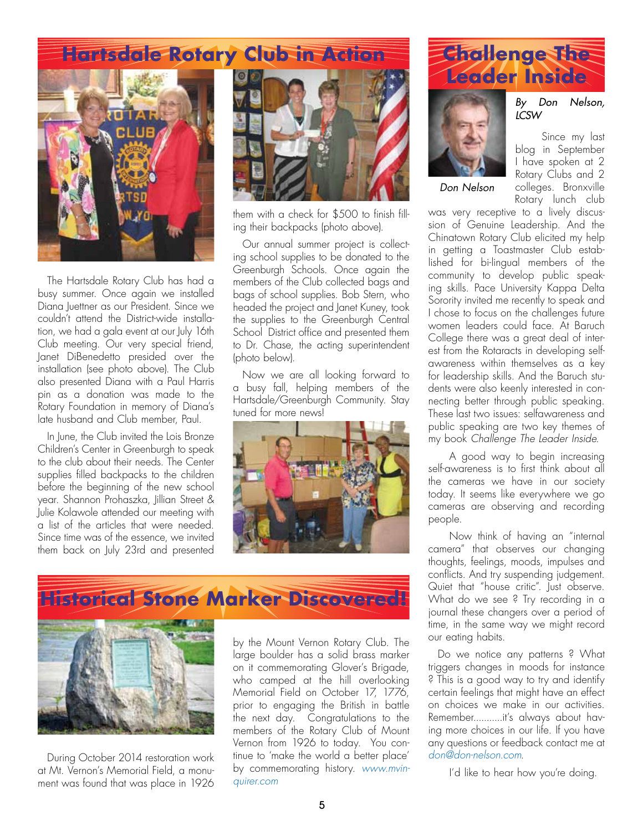## **Hartsdale Rotary Club in Action**



The Hartsdale Rotary Club has had a busy summer. Once again we installed Diana Juettner as our President. Since we couldn't attend the District-wide installation, we had a gala event at our July 16th Club meeting. Our very special friend, Janet DiBenedetto presided over the installation (see photo above). The Club also presented Diana with a Paul Harris pin as a donation was made to the Rotary Foundation in memory of Diana's late husband and Club member, Paul.

In June, the Club invited the Lois Bronze Children's Center in Greenburgh to speak to the club about their needs. The Center supplies filled backpacks to the children before the beginning of the new school year. Shannon Prohaszka, Jillian Street & Julie Kolawole attended our meeting with a list of the articles that were needed. Since time was of the essence, we invited them back on July 23rd and presented



them with a check for \$500 to finish filling their backpacks (photo above).

Our annual summer project is collecting school supplies to be donated to the Greenburgh Schools. Once again the members of the Club collected bags and bags of school supplies. Bob Stern, who headed the project and Janet Kuney, took the supplies to the Greenburgh Central School District office and presented them to Dr. Chase, the acting superintendent (photo below).

Now we are all looking forward to a busy fall, helping members of the Hartsdale/Greenburgh Community. Stay tuned for more news!







During October 2014 restoration work at Mt. Vernon's Memorial Field, a monument was found that was place in 1926

by the Mount Vernon Rotary Club. The large boulder has a solid brass marker on it commemorating Glover's Brigade, who camped at the hill overlooking Memorial Field on October 17, 1776, prior to engaging the British in battle the next day. Congratulations to the members of the Rotary Club of Mount Vernon from 1926 to today. You continue to 'make the world a better place' by commemorating history. *www.mvinquirer.com* 





*Don Nelson*

*By Don Nelson, LCSW*

Since my last blog in September I have spoken at 2 Rotary Clubs and 2 colleges. Bronxville Rotary lunch club

was very receptive to a lively discussion of Genuine Leadership. And the Chinatown Rotary Club elicited my help in getting a Toastmaster Club established for bi-lingual members of the community to develop public speaking skills. Pace University Kappa Delta Sorority invited me recently to speak and I chose to focus on the challenges future women leaders could face. At Baruch College there was a great deal of interest from the Rotaracts in developing selfawareness within themselves as a key for leadership skills. And the Baruch students were also keenly interested in connecting better through public speaking. These last two issues: selfawareness and public speaking are two key themes of my book *Challenge The Leader Inside*.

A good way to begin increasing self-awareness is to first think about all the cameras we have in our society today. It seems like everywhere we go cameras are observing and recording people.

Now think of having an "internal camera" that observes our changing thoughts, feelings, moods, impulses and conflicts. And try suspending judgement. Quiet that "house critic". Just observe. What do we see ? Try recording in a journal these changers over a period of time, in the same way we might record our eating habits.

Do we notice any patterns ? What triggers changes in moods for instance ? This is a good way to try and identify certain feelings that might have an effect on choices we make in our activities. Remember...........it's always about having more choices in our life. If you have any questions or feedback contact me at *don@don-nelson.com*.

I'd like to hear how you're doing.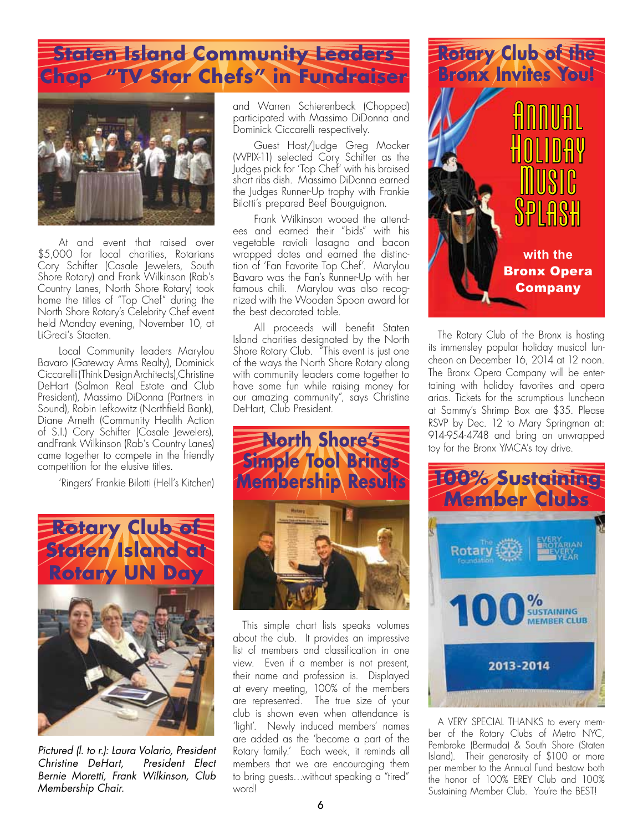## **Staten Island Community Leaders Chop "TV Star Chefs" in Fundraiser**



At and event that raised over \$5,000 for local charities, Rotarians Cory Schifter (Casale Jewelers, South Shore Rotary) and Frank Wilkinson (Rab's Country Lanes, North Shore Rotary) took home the titles of "Top Chef" during the North Shore Rotary's Celebrity Chef event held Monday evening, November 10, at LiGreci's Staaten.

Local Community leaders Marylou Bavaro (Gateway Arms Realty), Dominick Ciccarelli (Think Design Architects),Christine DeHart (Salmon Real Estate and Club President), Massimo DiDonna (Partners in Sound), Robin Lefkowitz (Northfield Bank), Diane Arneth (Community Health Action of S.I.) Cory Schifter (Casale Jewelers), andFrank Wilkinson (Rab's Country Lanes) came together to compete in the friendly competition for the elusive titles.

'Ringers' Frankie Bilotti (Hell's Kitchen)



*Pictured (l. to r.): Laura Volario, President Christine DeHart, President Elect Bernie Moretti, Frank Wilkinson, Club Membership Chair.*

and Warren Schierenbeck (Chopped) participated with Massimo DiDonna and Dominick Ciccarelli respectively.

Guest Host/Judge Greg Mocker (WPIX-11) selected Cory Schifter as the Judges pick for 'Top Chef' with his braised short ribs dish. Massimo DiDonna earned the Judges Runner-Up trophy with Frankie Bilotti's prepared Beef Bourguignon.

Frank Wilkinson wooed the attendees and earned their "bids" with his vegetable ravioli lasagna and bacon wrapped dates and earned the distinction of 'Fan Favorite Top Chef'. Marylou Bavaro was the Fan's Runner-Up with her famous chili. Marylou was also recognized with the Wooden Spoon award for the best decorated table.

All proceeds will benefit Staten Island charities designated by the North Shore Rotary Club. "This event is just one of the ways the North Shore Rotary along with community leaders come together to have some fun while raising money for our amazing community", says Christine DeHart, Club President.



This simple chart lists speaks volumes about the club. It provides an impressive list of members and classification in one view. Even if a member is not present, their name and profession is. Displayed at every meeting, 100% of the members are represented. The true size of your club is shown even when attendance is 'light'. Newly induced members' names are added as the 'become a part of the Rotary family.' Each week, it reminds all members that we are encouraging them to bring guests…without speaking a "tired" word!



The Rotary Club of the Bronx is hosting its immensley popular holiday musical luncheon on December 16, 2014 at 12 noon. The Bronx Opera Company will be entertaining with holiday favorites and opera arias. Tickets for the scrumptious luncheon at Sammy's Shrimp Box are \$35. Please RSVP by Dec. 12 to Mary Springman at: 914-954-4748 and bring an unwrapped toy for the Bronx YMCA's toy drive.



A VERY SPECIAL THANKS to every member of the Rotary Clubs of Metro<sup>'</sup> NYC, Pembroke (Bermuda) & South Shore (Staten Island). Their generosity of \$100 or more per member to the Annual Fund bestow both the honor of 100% EREY Club and 100% Sustaining Member Club. You're the BEST!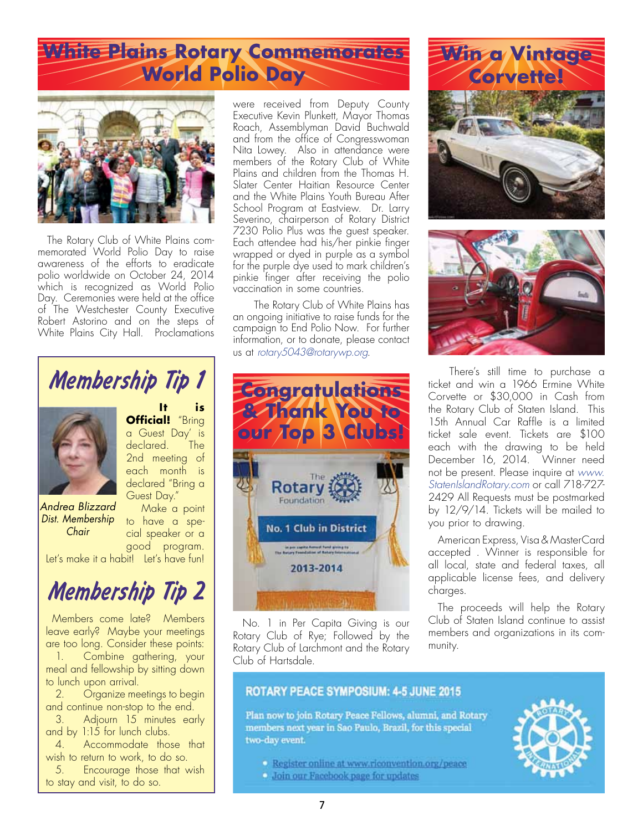# **White Plains Rotary Commemorates World Polio Day**



The Rotary Club of White Plains commemorated World Polio Day to raise awareness of the efforts to eradicate polio worldwide on October 24, 2014 which is recognized as World Polio Day. Ceremonies were held at the office of The Westchester County Executive Robert Astorino and on the steps of White Plains City Hall. Proclamations were received from Deputy County Executive Kevin Plunkett, Mayor Thomas Roach, Assemblyman David Buchwald and from the office of Congresswoman Nita Lowey. Also in attendance were members of the Rotary Club of White Plains and children from the Thomas H. Slater Center Haitian Resource Center and the White Plains Youth Bureau After School Program at Eastview. Dr. Larry Severino, chairperson of Rotary District 7230 Polio Plus was the guest speaker. Each attendee had his/her pinkie finger wrapped or dyed in purple as a symbol for the purple dye used to mark children's pinkie finger after receiving the polio vaccination in some countries.

The Rotary Club of White Plains has an ongoing initiative to raise funds for the campaign to End Polio Now. For further information, or to donate, please contact us at *rotary5043@rotarywp.org*.



No. 1 in Per Capita Giving is our Rotary Club of Rye; Followed by the Rotary Club of Larchmont and the Rotary Club of Hartsdale.

# **Win a Vintage Corvette!**



There's still time to purchase a ticket and win a 1966 Ermine White Corvette or \$30,000 in Cash from the Rotary Club of Staten Island. This 15th Annual Car Raffle is a limited ticket sale event. Tickets are \$100 each with the drawing to be held December 16, 2014. Winner need not be present. Please inquire at *www. StatenIslandRotary.com* or call 718-727- 2429 All Requests must be postmarked by 12/9/14. Tickets will be mailed to you prior to drawing.

American Express, Visa & MasterCard accepted . Winner is responsible for all local, state and federal taxes, all applicable license fees, and delivery charges.

The proceeds will help the Rotary Club of Staten Island continue to assist members and organizations in its community.

### **ROTARY PEACE SYMPOSIUM: 4-5 JUNE 2015**

Plan now to join Rotary Peace Fellows, alumni, and Rotary members next year in Sao Paulo, Brazil, for this special two-day event.

- Register online at www.riconvention.org/peace
- **Join our Facebook page for updates**



# Membership Tip 1



**Official!** "Bring a Guest Day' is declared. The 2nd meeting of each month is declared "Bring a Guest Day." Make a point

to have a spe-

 $i$ s

*Andrea Blizzard Dist. Membership Chair*

cial speaker or a good program.

Let's make it a habit! Let's have fun!

# Membership Tip 2

 Members come late? Members leave early? Maybe your meetings are too long. Consider these points:

1. Combine gathering, your meal and fellowship by sitting down to lunch upon arrival.

2. Organize meetings to begin and continue non-stop to the end.

3. Adjourn 15 minutes early and by 1:15 for lunch clubs.

4. Accommodate those that wish to return to work, to do so.

5. Encourage those that wish to stay and visit, to do so.